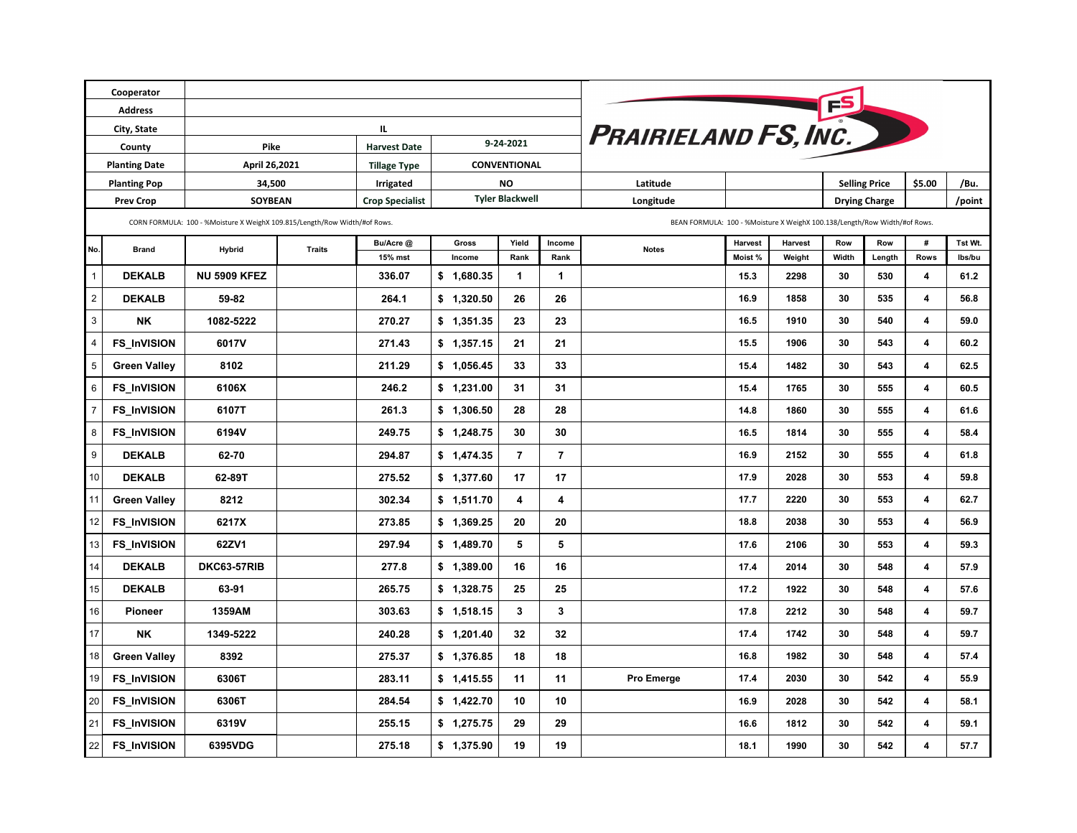|                  | Cooperator           |                                                                           |                                                                           |                                         |                        |                |                |              |         |                      |                      |        |        |         |
|------------------|----------------------|---------------------------------------------------------------------------|---------------------------------------------------------------------------|-----------------------------------------|------------------------|----------------|----------------|--------------|---------|----------------------|----------------------|--------|--------|---------|
| <b>Address</b>   |                      |                                                                           |                                                                           |                                         |                        |                |                |              |         |                      |                      |        |        |         |
| City, State      |                      |                                                                           |                                                                           | PRAIRIELAND FS, INC.                    |                        |                |                |              |         |                      |                      |        |        |         |
| County           |                      | Pike                                                                      |                                                                           | IL.<br>9-24-2021<br><b>Harvest Date</b> |                        |                |                |              |         |                      |                      |        |        |         |
|                  | <b>Planting Date</b> | April 26,2021                                                             |                                                                           | <b>Tillage Type</b>                     | CONVENTIONAL           |                |                |              |         |                      |                      |        |        |         |
|                  | <b>Planting Pop</b>  | 34,500                                                                    |                                                                           | Irrigated                               | <b>NO</b>              |                |                | Latitude     |         | <b>Selling Price</b> |                      |        | \$5.00 | /Bu.    |
|                  | <b>Prev Crop</b>     | SOYBEAN                                                                   |                                                                           | <b>Crop Specialist</b>                  | <b>Tyler Blackwell</b> |                |                | Longitude    |         |                      | <b>Drying Charge</b> |        | /point |         |
|                  |                      | CORN FORMULA: 100 - %Moisture X WeighX 109.815/Length/Row Width/#of Rows. | BEAN FORMULA: 100 - %Moisture X WeighX 100.138/Length/Row Width/#of Rows. |                                         |                        |                |                |              |         |                      |                      |        |        |         |
| No.              | <b>Brand</b>         | <b>Hybrid</b>                                                             | Traits                                                                    | Bu/Acre @                               | Gross                  | Yield          | Income         | <b>Notes</b> | Harvest | Harvest              | Row                  | Row    | #      | Tst Wt. |
|                  |                      |                                                                           |                                                                           | 15% mst                                 | Income                 | Rank           | Rank           |              | Moist%  | Weight               | Width                | Length | Rows   | lbs/bu  |
| $\mathbf{1}$     | <b>DEKALB</b>        | <b>NU 5909 KFEZ</b>                                                       |                                                                           | 336.07                                  | \$1,680.35             | $\mathbf 1$    | 1              |              | 15.3    | 2298                 | 30                   | 530    | 4      | 61.2    |
| $\overline{2}$   | <b>DEKALB</b>        | 59-82                                                                     |                                                                           | 264.1                                   | \$1,320.50             | 26             | 26             |              | 16.9    | 1858                 | 30                   | 535    | 4      | 56.8    |
| $\mathbf{3}$     | <b>NK</b>            | 1082-5222                                                                 |                                                                           | 270.27                                  | \$1,351.35             | 23             | 23             |              | 16.5    | 1910                 | 30                   | 540    | 4      | 59.0    |
| $\pmb{4}$        | FS_InVISION          | 6017V                                                                     |                                                                           | 271.43                                  | \$1,357.15             | 21             | 21             |              | 15.5    | 1906                 | 30                   | 543    | 4      | 60.2    |
| 5                | <b>Green Valley</b>  | 8102                                                                      |                                                                           | 211.29                                  | \$1,056.45             | 33             | 33             |              | 15.4    | 1482                 | 30                   | 543    | 4      | 62.5    |
| 6                | <b>FS_InVISION</b>   | 6106X                                                                     |                                                                           | 246.2                                   | \$1,231.00             | 31             | 31             |              | 15.4    | 1765                 | 30                   | 555    | 4      | 60.5    |
| $\overline{7}$   | <b>FS_InVISION</b>   | 6107T                                                                     |                                                                           | 261.3                                   | \$1,306.50             | 28             | 28             |              | 14.8    | 1860                 | 30                   | 555    | 4      | 61.6    |
| 8                | <b>FS_InVISION</b>   | 6194V                                                                     |                                                                           | 249.75                                  | \$1,248.75             | 30             | 30             |              | 16.5    | 1814                 | 30                   | 555    | 4      | 58.4    |
| $\boldsymbol{9}$ | <b>DEKALB</b>        | 62-70                                                                     |                                                                           | 294.87                                  | \$1,474.35             | $\overline{7}$ | $\overline{7}$ |              | 16.9    | 2152                 | 30                   | 555    | 4      | 61.8    |
| 10               | <b>DEKALB</b>        | 62-89T                                                                    |                                                                           | 275.52                                  | \$1,377.60             | 17             | 17             |              | 17.9    | 2028                 | 30                   | 553    | 4      | 59.8    |
| 11               | <b>Green Valley</b>  | 8212                                                                      |                                                                           | 302.34                                  | \$1,511.70             | 4              | 4              |              | 17.7    | 2220                 | 30                   | 553    | 4      | 62.7    |
| 12               | <b>FS_InVISION</b>   | 6217X                                                                     |                                                                           | 273.85                                  | \$1,369.25             | 20             | 20             |              | 18.8    | 2038                 | 30                   | 553    | 4      | 56.9    |
| 13               | <b>FS_InVISION</b>   | 62ZV1                                                                     |                                                                           | 297.94                                  | \$1,489.70             | 5              | 5              |              | 17.6    | 2106                 | 30                   | 553    | 4      | 59.3    |
| 14               | <b>DEKALB</b>        | <b>DKC63-57RIB</b>                                                        |                                                                           | 277.8                                   | \$1,389.00             | 16             | 16             |              | 17.4    | 2014                 | 30                   | 548    | 4      | 57.9    |
| 15               | <b>DEKALB</b>        | 63-91                                                                     |                                                                           | 265.75                                  | \$1,328.75             | 25             | 25             |              | 17.2    | 1922                 | 30                   | 548    | 4      | 57.6    |
| 16               | <b>Pioneer</b>       | 1359AM                                                                    |                                                                           | 303.63                                  | \$1,518.15             | 3              | $\mathbf{3}$   |              | 17.8    | 2212                 | 30                   | 548    | 4      | 59.7    |
| 17               | NΚ                   | 1349-5222                                                                 |                                                                           | 240.28                                  | \$1,201.40             | 32             | 32             |              | 17.4    | 1742                 | 30                   | 548    | 4      | 59.7    |
| 18               | <b>Green Valley</b>  | 8392                                                                      |                                                                           | 275.37                                  | \$1,376.85             | 18             | 18             |              | 16.8    | 1982                 | 30                   | 548    | 4      | 57.4    |
| 19               | <b>FS_InVISION</b>   | 6306T                                                                     |                                                                           | 283.11                                  | \$1,415.55             | 11             | 11             | Pro Emerge   | 17.4    | 2030                 | 30                   | 542    | 4      | 55.9    |
| 20               | FS_InVISION          | 6306T                                                                     |                                                                           | 284.54                                  | \$1,422.70             | 10             | 10             |              | 16.9    | 2028                 | 30                   | 542    | 4      | 58.1    |
| 21               | FS_InVISION          | 6319V                                                                     |                                                                           | 255.15                                  | \$1,275.75             | 29             | 29             |              | 16.6    | 1812                 | 30                   | 542    | 4      | 59.1    |
| 22               | FS_InVISION          | 6395VDG                                                                   |                                                                           | 275.18                                  | \$1,375.90             | 19             | 19             |              | 18.1    | 1990                 | 30                   | 542    | 4      | 57.7    |